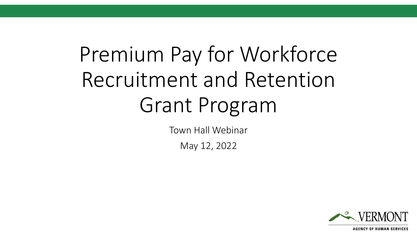# Premium Pay for Workforce Recruitment and Retention Grant Program

Town Hall Webinar

May 12, 2022

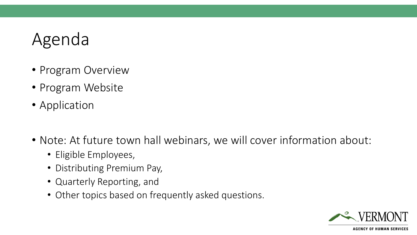### Agenda

- Program Overview
- Program Website
- Application
- Note: At future town hall webinars, we will cover information about:
	- Eligible Employees,
	- Distributing Premium Pay,
	- Quarterly Reporting, and
	- Other topics based on frequently asked questions.

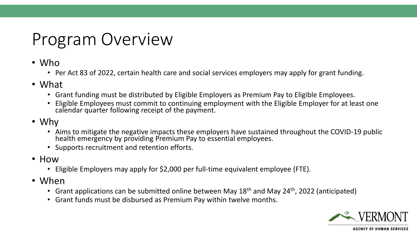## Program Overview

- Who
	- Per Act 83 of 2022, certain health care and social services employers may apply for grant funding.
- What
	- Grant funding must be distributed by Eligible Employers as Premium Pay to Eligible Employees.
	- Eligible Employees must commit to continuing employment with the Eligible Employer for at least one calendar quarter following receipt of the payment.
- Why
	- Aims to mitigate the negative impacts these employers have sustained throughout the COVID-19 public health emergency by providing Premium Pay to essential employees.
	- Supports recruitment and retention efforts.
- How
	- Eligible Employers may apply for \$2,000 per full-time equivalent employee (FTE).
- When
	- Grant applications can be submitted online between May  $18<sup>th</sup>$  and May 24<sup>th</sup>, 2022 (anticipated)
	- Grant funds must be disbursed as Premium Pay within twelve months.

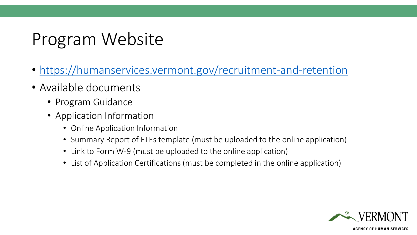### Program Website

- <https://humanservices.vermont.gov/recruitment-and-retention>
- Available documents
	- Program Guidance
	- Application Information
		- Online Application Information
		- Summary Report of FTEs template (must be uploaded to the online application)
		- Link to Form W-9 (must be uploaded to the online application)
		- List of Application Certifications (must be completed in the online application)

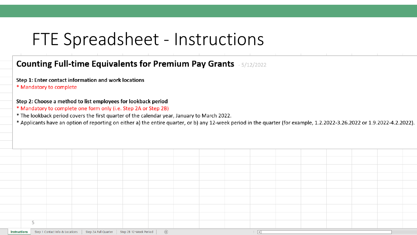### FTE Spreadsheet - Instructions

### **Counting Full-time Equivalents for Premium Pay Grants** - 5/12/2022

Step 1: Enter contact information and work locations

\* Mandatory to complete

#### Step 2: Choose a method to list employees for lookback period

- \* Mandatory to complete one form only (i.e. Step 2A or Step 2B)
- \* The lookback period covers the first quarter of the calendar year, January to March 2022.
- \* Applicants have an option of reporting on either a) the entire quarter, or b) any 12-week period in the quarter (for example, 1.2.2022-3.26.2022 or 1.9.2022-4.2.2022).

| Instructions Step 1 Contact Info & Locations   Step 2A Full Quarter   Step 2B 12-Week Period   $\oplus$<br>8 H |  |  |  |  |  |  |  |  |  |  |  |  |  |
|----------------------------------------------------------------------------------------------------------------|--|--|--|--|--|--|--|--|--|--|--|--|--|
|                                                                                                                |  |  |  |  |  |  |  |  |  |  |  |  |  |
|                                                                                                                |  |  |  |  |  |  |  |  |  |  |  |  |  |
|                                                                                                                |  |  |  |  |  |  |  |  |  |  |  |  |  |
|                                                                                                                |  |  |  |  |  |  |  |  |  |  |  |  |  |
|                                                                                                                |  |  |  |  |  |  |  |  |  |  |  |  |  |
|                                                                                                                |  |  |  |  |  |  |  |  |  |  |  |  |  |
|                                                                                                                |  |  |  |  |  |  |  |  |  |  |  |  |  |
|                                                                                                                |  |  |  |  |  |  |  |  |  |  |  |  |  |
|                                                                                                                |  |  |  |  |  |  |  |  |  |  |  |  |  |
|                                                                                                                |  |  |  |  |  |  |  |  |  |  |  |  |  |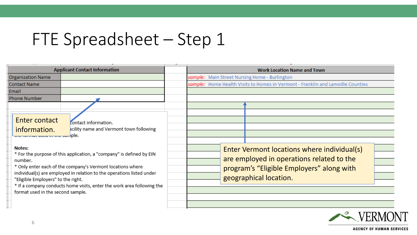### FTE Spreadsheet - Step 1

|                                                                                                                                                                             | <b>Applicant Contact Information</b>                                                                                                                                                                                                                                                                                                                     |  | <b>Work Location Name and Town</b>                                                                                                                              |  |  |  |  |  |
|-----------------------------------------------------------------------------------------------------------------------------------------------------------------------------|----------------------------------------------------------------------------------------------------------------------------------------------------------------------------------------------------------------------------------------------------------------------------------------------------------------------------------------------------------|--|-----------------------------------------------------------------------------------------------------------------------------------------------------------------|--|--|--|--|--|
| <b>Organization Name</b>                                                                                                                                                    | sample: Main Street Nursing Home - Burlington                                                                                                                                                                                                                                                                                                            |  |                                                                                                                                                                 |  |  |  |  |  |
| <b>Contact Name</b>                                                                                                                                                         |                                                                                                                                                                                                                                                                                                                                                          |  | sample: Home Health Visits to Homes in Vermont - Franklin and Lamoille Counties                                                                                 |  |  |  |  |  |
| Email                                                                                                                                                                       |                                                                                                                                                                                                                                                                                                                                                          |  |                                                                                                                                                                 |  |  |  |  |  |
| <b>Phone Number</b>                                                                                                                                                         |                                                                                                                                                                                                                                                                                                                                                          |  |                                                                                                                                                                 |  |  |  |  |  |
| Enter contact<br>information.<br><del>are romae used in the sun</del> iple.<br>Notes:<br>number.<br>"Eligible Employers" to the right.<br>format used in the second sample. | contact information.<br>acility name and Vermont town following<br>* For the purpose of this application, a "company" is defined by EIN<br>* Only enter each of the company's Vermont locations where<br>individual(s) are employed in relation to the operations listed under<br>* If a company conducts home visits, enter the work area following the |  | Enter Vermont locations where individual(s)<br>are employed in operations related to the<br>program's "Eligible Employers" along with<br>geographical location. |  |  |  |  |  |

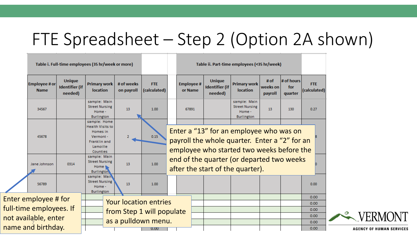### FTE Spreadsheet – Step 2 (Option 2A shown)

|  |                                                                                |                                                   | Table i. Full-time employees (35 hr/week or more)                                                        |                              |                            |                                                                                                                                       |                                                                               | Table ii. Part-time employees (<35 hr/week)       |                                                                      |                               |                              |                            |  |
|--|--------------------------------------------------------------------------------|---------------------------------------------------|----------------------------------------------------------------------------------------------------------|------------------------------|----------------------------|---------------------------------------------------------------------------------------------------------------------------------------|-------------------------------------------------------------------------------|---------------------------------------------------|----------------------------------------------------------------------|-------------------------------|------------------------------|----------------------------|--|
|  | <b>Employee # or</b><br><b>Name</b>                                            | <b>Unique</b><br><b>Identifier</b> (if<br>needed) | <b>Primary work</b><br><b>location</b>                                                                   | # of weeks<br>on payroll     | <b>FTE</b><br>(calculated) |                                                                                                                                       | <b>Employee#</b><br>or Name                                                   | <b>Unique</b><br><b>Identifier (if</b><br>needed) | <b>Primary work</b><br><b>location</b>                               | # $of$<br>weeks on<br>payroll | # of hours<br>for<br>quarter | <b>FTE</b><br>(calculated) |  |
|  | 34567<br>45678<br>Jane Johnson<br>0314                                         |                                                   | sample: Main<br><b>Street Nursing</b><br>Home -<br><b>Burlington</b>                                     | 13                           | 1.00                       |                                                                                                                                       | 67891                                                                         |                                                   | sample: Main<br><b>Street Nursing</b><br>Home -<br><b>Burlington</b> | 13                            | 130                          | 0.27                       |  |
|  |                                                                                |                                                   | sample: Home<br><b>Health Visits to</b><br>Homes in<br>Vermont -<br>Franklin and<br>Lamoille<br>Counties | 2                            | 0.15                       | Enter a "13" for an employee who was on<br>payroll the whole quarter. Enter a "2" for an<br>employee who started two weeks before the |                                                                               |                                                   |                                                                      |                               |                              |                            |  |
|  |                                                                                |                                                   | sample: Main<br><b>Street Nursing</b><br>Home $\cdot$<br><b>Burlington</b>                               | 13                           | 1.00                       |                                                                                                                                       | end of the quarter (or departed two weeks<br>after the start of the quarter). |                                                   |                                                                      |                               |                              |                            |  |
|  | 56789                                                                          |                                                   | sample: Main<br><b>Street Nursing</b><br>Home -<br><b>Burlington</b>                                     | 13                           | 1.00                       |                                                                                                                                       |                                                                               |                                                   |                                                                      |                               |                              | 0.00                       |  |
|  | <b>Enter employee # for</b><br>full-time employees. If<br>not available, enter |                                                   |                                                                                                          | <b>Your location entries</b> |                            |                                                                                                                                       |                                                                               |                                                   |                                                                      |                               |                              | 0.00<br>0.00               |  |
|  |                                                                                |                                                   |                                                                                                          | from Step 1 will populate    |                            |                                                                                                                                       |                                                                               |                                                   |                                                                      |                               |                              | 0.00                       |  |
|  |                                                                                |                                                   |                                                                                                          |                              |                            |                                                                                                                                       |                                                                               |                                                   |                                                                      |                               |                              | 0.00                       |  |
|  | name and birthday.                                                             |                                                   |                                                                                                          | as a pulldown menu.          |                            |                                                                                                                                       |                                                                               |                                                   |                                                                      |                               |                              | 0.00                       |  |
|  |                                                                                |                                                   |                                                                                                          |                              | 0.00                       |                                                                                                                                       |                                                                               |                                                   |                                                                      |                               |                              | 0.00                       |  |

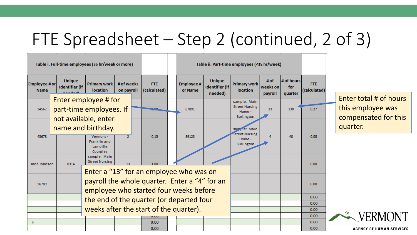## FTE Spreadsheet – Step 2 (continued, 2 of 3)

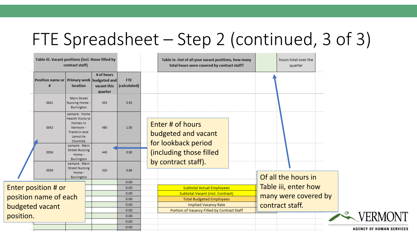## FTE Spreadsheet – Step 2 (continued, 3 of 3)

|  | Table iii. Vacant positions (incl. those filled by<br>contract staff) |                                                                                                                                              |                                      |                            | Table iv. Out of all your vacant positions, how many<br>total hours were covered by contract staff? |                                                                       |  |                 | hours total over the<br>quarter |  |                                 |  |  |
|--|-----------------------------------------------------------------------|----------------------------------------------------------------------------------------------------------------------------------------------|--------------------------------------|----------------------------|-----------------------------------------------------------------------------------------------------|-----------------------------------------------------------------------|--|-----------------|---------------------------------|--|---------------------------------|--|--|
|  | Position name or Primary work budgeted and                            | <b>location</b>                                                                                                                              | # of hours<br>vacant this<br>quarter | <b>FTE</b><br>(calculated) |                                                                                                     |                                                                       |  |                 |                                 |  |                                 |  |  |
|  | 0041                                                                  | <b>Main Street</b><br>Nursing Home -<br>Burlington                                                                                           | 455                                  | 0.93                       |                                                                                                     |                                                                       |  |                 |                                 |  |                                 |  |  |
|  | 0042                                                                  | sample: Home<br>Health Visits to<br>Homes in<br>Vermont -<br>Franklin and<br>Lamoille<br>Counties                                            | 480                                  | 1.00                       |                                                                                                     | Enter # of hours<br>budgeted and vacant                               |  |                 |                                 |  |                                 |  |  |
|  | 0056                                                                  | sample: Main<br><b>Street Nursing</b><br>440<br>Home -<br>Burlington<br>sample: Main<br><b>Street Nursing</b><br>320<br>Home -<br>Burlington |                                      | 0.90                       |                                                                                                     | for lookback period<br>(including those filled<br>by contract staff). |  |                 |                                 |  |                                 |  |  |
|  | 0059                                                                  |                                                                                                                                              |                                      | 0.66                       |                                                                                                     |                                                                       |  |                 | Of all the hours in             |  |                                 |  |  |
|  |                                                                       |                                                                                                                                              |                                      | 0.00<br>0.00               |                                                                                                     |                                                                       |  |                 | Table iii, enter how            |  |                                 |  |  |
|  | Enter position # or                                                   |                                                                                                                                              |                                      | 0.00                       |                                                                                                     | <b>Subtotal Actual Employees</b><br>Subtotal Vacant (incl. Contract)  |  |                 |                                 |  |                                 |  |  |
|  | position name of each<br>budgeted vacant                              |                                                                                                                                              |                                      | 0.00                       |                                                                                                     | <b>Total Budgeted Employees</b>                                       |  |                 | many were covered by            |  |                                 |  |  |
|  |                                                                       |                                                                                                                                              |                                      | 0.00                       | <b>Implied Vacancy Rate</b>                                                                         |                                                                       |  | contract staff. |                                 |  |                                 |  |  |
|  |                                                                       |                                                                                                                                              |                                      | 0.00                       |                                                                                                     | Portion of Vacancy Filled by Contract Staff                           |  |                 |                                 |  |                                 |  |  |
|  | position.                                                             |                                                                                                                                              |                                      | 0.00<br>0.00               |                                                                                                     |                                                                       |  |                 |                                 |  | <b>EXPERMONT</b>                |  |  |
|  |                                                                       |                                                                                                                                              |                                      | 0.00                       |                                                                                                     |                                                                       |  |                 |                                 |  | <b>AGENCY OF HUMAN SERVICES</b> |  |  |